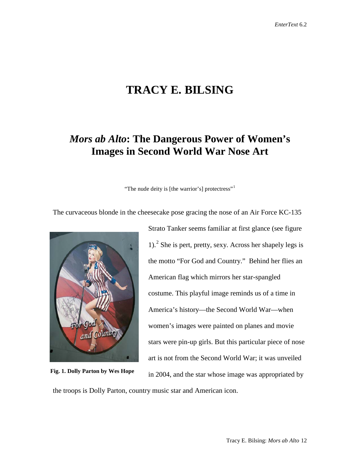# **TRACY E. BILSING**

# *Mors ab Alto***: The Dangerous Power of Women's Images in Second World War Nose Art**

"The nude deity is [the warrior's] protectress"<sup>[1](#page-18-0)</sup>

The curvaceous blonde in the cheesecake pose gracing the nose of an Air Force KC-135



**Fig. 1. Dolly Parton by Wes Hope** 

Strato Tanker seems familiar at first glance (see figure 1).[2](#page-18-1) She is pert, pretty, sexy. Across her shapely legs is the motto "For God and Country." Behind her flies an American flag which mirrors her star-spangled costume. This playful image reminds us of a time in America's history—the Second World War—when women's images were painted on planes and movie stars were pin-up girls. But this particular piece of nose art is not from the Second World War; it was unveiled in 2004, and the star whose image was appropriated by

the troops is Dolly Parton, country music star and American icon.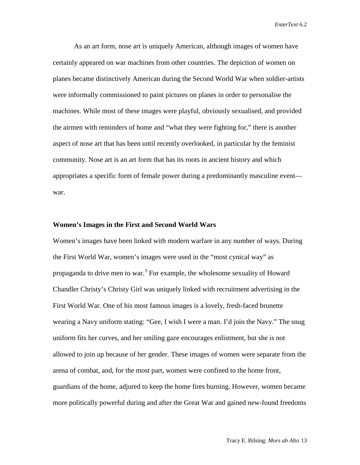As an art form, nose art is uniquely American, although images of women have certainly appeared on war machines from other countries. The depiction of women on planes became distinctively American during the Second World War when soldier-artists were informally commissioned to paint pictures on planes in order to personalise the machines. While most of these images were playful, obviously sexualised, and provided the airmen with reminders of home and "what they were fighting for," there is another aspect of nose art that has been until recently overlooked, in particular by the feminist community. Nose art is an art form that has its roots in ancient history and which appropriates a specific form of female power during a predominantly masculine event war.

#### **Women's Images in the First and Second World Wars**

Women's images have been linked with modern warfare in any number of ways. During the First World War, women's images were used in the "most cynical way" as propaganda to drive men to war.<sup>[3](#page-18-2)</sup> For example, the wholesome sexuality of Howard Chandler Christy's Christy Girl was uniquely linked with recruitment advertising in the First World War. One of his most famous images is a lovely, fresh-faced brunette wearing a Navy uniform stating: "Gee, I wish I were a man. I'd join the Navy." The snug uniform fits her curves, and her smiling gaze encourages enlistment, but she is not allowed to join up because of her gender. These images of women were separate from the arena of combat, and, for the most part, women were confined to the home front, guardians of the home, adjured to keep the home fires burning. However, women became more politically powerful during and after the Great War and gained new-found freedoms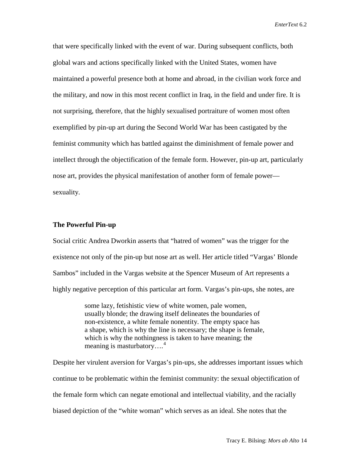that were specifically linked with the event of war. During subsequent conflicts, both global wars and actions specifically linked with the United States, women have maintained a powerful presence both at home and abroad, in the civilian work force and the military, and now in this most recent conflict in Iraq, in the field and under fire. It is not surprising, therefore, that the highly sexualised portraiture of women most often exemplified by pin-up art during the Second World War has been castigated by the feminist community which has battled against the diminishment of female power and intellect through the objectification of the female form. However, pin-up art, particularly nose art, provides the physical manifestation of another form of female power sexuality.

### **The Powerful Pin-up**

Social critic Andrea Dworkin asserts that "hatred of women" was the trigger for the existence not only of the pin-up but nose art as well. Her article titled "Vargas' Blonde Sambos" included in the Vargas website at the Spencer Museum of Art represents a highly negative perception of this particular art form. Vargas's pin-ups, she notes, are

> some lazy, fetishistic view of white women, pale women, usually blonde; the drawing itself delineates the boundaries of non-existence, a white female nonentity. The empty space has a shape, which is why the line is necessary; the shape is female, which is why the nothingness is taken to have meaning; the meaning is masturbatory....<sup>[4](#page-18-3)</sup>

Despite her virulent aversion for Vargas's pin-ups, she addresses important issues which continue to be problematic within the feminist community: the sexual objectification of the female form which can negate emotional and intellectual viability, and the racially biased depiction of the "white woman" which serves as an ideal. She notes that the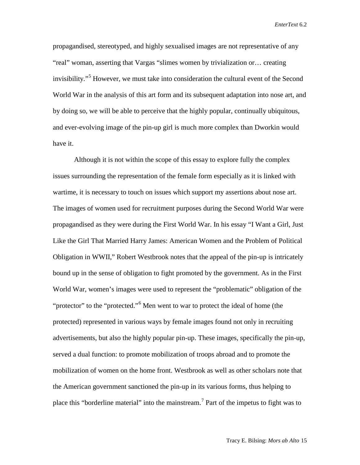propagandised, stereotyped, and highly sexualised images are not representative of any "real" woman, asserting that Vargas "slimes women by trivialization or… creating invisibility."<sup>[5](#page-18-4)</sup> However, we must take into consideration the cultural event of the Second World War in the analysis of this art form and its subsequent adaptation into nose art, and by doing so, we will be able to perceive that the highly popular, continually ubiquitous, and ever-evolving image of the pin-up girl is much more complex than Dworkin would have it.

Although it is not within the scope of this essay to explore fully the complex issues surrounding the representation of the female form especially as it is linked with wartime, it is necessary to touch on issues which support my assertions about nose art. The images of women used for recruitment purposes during the Second World War were propagandised as they were during the First World War. In his essay "I Want a Girl, Just Like the Girl That Married Harry James: American Women and the Problem of Political Obligation in WWII," Robert Westbrook notes that the appeal of the pin-up is intricately bound up in the sense of obligation to fight promoted by the government. As in the First World War, women's images were used to represent the "problematic" obligation of the "protector" to the "protected."<sup>[6](#page-18-5)</sup> Men went to war to protect the ideal of home (the protected) represented in various ways by female images found not only in recruiting advertisements, but also the highly popular pin-up. These images, specifically the pin-up, served a dual function: to promote mobilization of troops abroad and to promote the mobilization of women on the home front. Westbrook as well as other scholars note that the American government sanctioned the pin-up in its various forms, thus helping to place this "borderline material" into the mainstream.[7](#page-18-6) Part of the impetus to fight was to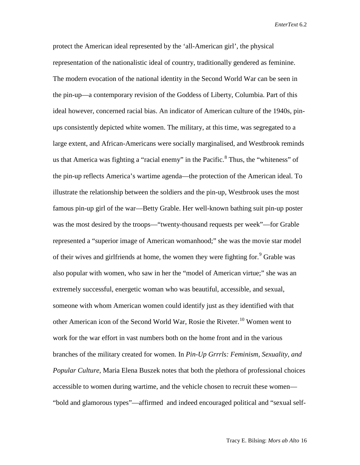protect the American ideal represented by the 'all-American girl', the physical representation of the nationalistic ideal of country, traditionally gendered as feminine. The modern evocation of the national identity in the Second World War can be seen in the pin-up—a contemporary revision of the Goddess of Liberty, Columbia. Part of this ideal however, concerned racial bias. An indicator of American culture of the 1940s, pinups consistently depicted white women. The military, at this time, was segregated to a large extent, and African-Americans were socially marginalised, and Westbrook reminds us that America was fighting a "racial enemy" in the Pacific.<sup>[8](#page-18-7)</sup> Thus, the "whiteness" of the pin-up reflects America's wartime agenda—the protection of the American ideal. To illustrate the relationship between the soldiers and the pin-up, Westbrook uses the most famous pin-up girl of the war—Betty Grable. Her well-known bathing suit pin-up poster was the most desired by the troops—"twenty-thousand requests per week"—for Grable represented a "superior image of American womanhood;" she was the movie star model of their wives and girlfriends at home, the women they were fighting for.<sup>[9](#page-18-8)</sup> Grable was also popular with women, who saw in her the "model of American virtue;" she was an extremely successful, energetic woman who was beautiful, accessible, and sexual, someone with whom American women could identify just as they identified with that other American icon of the Second World War, Rosie the Riveter.<sup>[10](#page-18-9)</sup> Women went to work for the war effort in vast numbers both on the home front and in the various branches of the military created for women. In *Pin-Up Grrrls: Feminism, Sexuality, and Popular Culture*, Maria Elena Buszek notes that both the plethora of professional choices accessible to women during wartime, and the vehicle chosen to recruit these women— "bold and glamorous types"—affirmed and indeed encouraged political and "sexual self-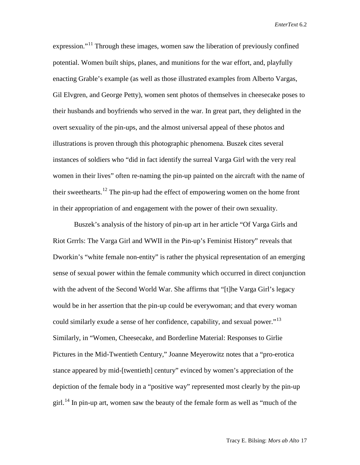expression."<sup>[11](#page-18-10)</sup> Through these images, women saw the liberation of previously confined potential. Women built ships, planes, and munitions for the war effort, and, playfully enacting Grable's example (as well as those illustrated examples from Alberto Vargas, Gil Elvgren, and George Petty), women sent photos of themselves in cheesecake poses to their husbands and boyfriends who served in the war. In great part, they delighted in the overt sexuality of the pin-ups, and the almost universal appeal of these photos and illustrations is proven through this photographic phenomena. Buszek cites several instances of soldiers who "did in fact identify the surreal Varga Girl with the very real women in their lives" often re-naming the pin-up painted on the aircraft with the name of their sweethearts.<sup>[12](#page-18-11)</sup> The pin-up had the effect of empowering women on the home front in their appropriation of and engagement with the power of their own sexuality.

Buszek's analysis of the history of pin-up art in her article "Of Varga Girls and Riot Grrrls: The Varga Girl and WWII in the Pin-up's Feminist History" reveals that Dworkin's "white female non-entity" is rather the physical representation of an emerging sense of sexual power within the female community which occurred in direct conjunction with the advent of the Second World War. She affirms that "[t]he Varga Girl's legacy would be in her assertion that the pin-up could be everywoman; and that every woman could similarly exude a sense of her confidence, capability, and sexual power."<sup>[13](#page-18-12)</sup> Similarly, in "Women, Cheesecake, and Borderline Material: Responses to Girlie Pictures in the Mid-Twentieth Century," Joanne Meyerowitz notes that a "pro-erotica stance appeared by mid-[twentieth] century" evinced by women's appreciation of the depiction of the female body in a "positive way" represented most clearly by the pin-up girl.<sup>[14](#page-18-13)</sup> In pin-up art, women saw the beauty of the female form as well as "much of the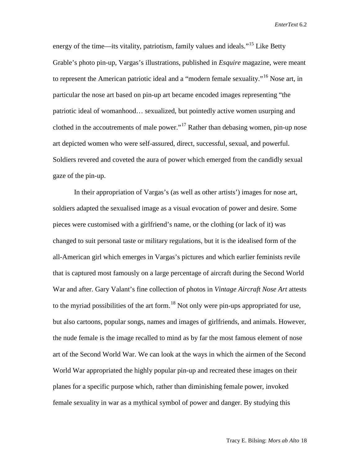energy of the time—its vitality, patriotism, family values and ideals."<sup>[15](#page-18-14)</sup> Like Betty Grable's photo pin-up, Vargas's illustrations, published in *Esquire* magazine, were meant to represent the American patriotic ideal and a "modern female sexuality."<sup>[16](#page-18-15)</sup> Nose art, in particular the nose art based on pin-up art became encoded images representing "the patriotic ideal of womanhood… sexualized, but pointedly active women usurping and clothed in the accoutrements of male power."<sup>[17](#page-18-16)</sup> Rather than debasing women, pin-up nose art depicted women who were self-assured, direct, successful, sexual, and powerful. Soldiers revered and coveted the aura of power which emerged from the candidly sexual gaze of the pin-up.

In their appropriation of Vargas's (as well as other artists') images for nose art, soldiers adapted the sexualised image as a visual evocation of power and desire. Some pieces were customised with a girlfriend's name, or the clothing (or lack of it) was changed to suit personal taste or military regulations, but it is the idealised form of the all-American girl which emerges in Vargas's pictures and which earlier feminists revile that is captured most famously on a large percentage of aircraft during the Second World War and after. Gary Valant's fine collection of photos in *Vintage Aircraft Nose Art* attests to the myriad possibilities of the art form.<sup>[18](#page-18-17)</sup> Not only were pin-ups appropriated for use, but also cartoons, popular songs, names and images of girlfriends, and animals. However, the nude female is the image recalled to mind as by far the most famous element of nose art of the Second World War. We can look at the ways in which the airmen of the Second World War appropriated the highly popular pin-up and recreated these images on their planes for a specific purpose which, rather than diminishing female power, invoked female sexuality in war as a mythical symbol of power and danger. By studying this

Tracy E. Bilsing: *Mors ab Alto* 18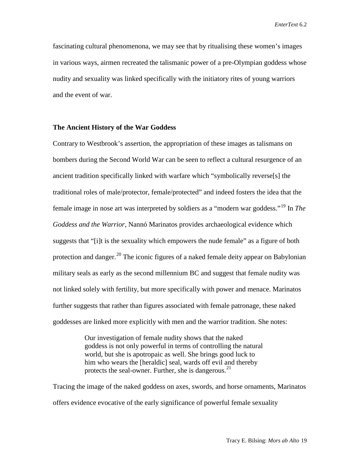fascinating cultural phenomenona, we may see that by ritualising these women's images in various ways, airmen recreated the talismanic power of a pre-Olympian goddess whose nudity and sexuality was linked specifically with the initiatory rites of young warriors and the event of war.

# **The Ancient History of the War Goddess**

Contrary to Westbrook's assertion, the appropriation of these images as talismans on bombers during the Second World War can be seen to reflect a cultural resurgence of an ancient tradition specifically linked with warfare which "symbolically reverse[s] the traditional roles of male/protector, female/protected" and indeed fosters the idea that the female image in nose art was interpreted by soldiers as a "modern war goddess."[19](#page-18-18) In *The Goddess and the Warrior*, Nannó Marinatos provides archaeological evidence which suggests that "[i]t is the sexuality which empowers the nude female" as a figure of both protection and danger.<sup>[20](#page-18-19)</sup> The iconic figures of a naked female deity appear on Babylonian military seals as early as the second millennium BC and suggest that female nudity was not linked solely with fertility, but more specifically with power and menace. Marinatos further suggests that rather than figures associated with female patronage, these naked goddesses are linked more explicitly with men and the warrior tradition. She notes:

> Our investigation of female nudity shows that the naked goddess is not only powerful in terms of controlling the natural world, but she is apotropaic as well. She brings good luck to him who wears the [heraldic] seal, wards off evil and thereby protects the seal-owner. Further, she is dangerous.<sup>[21](#page-18-20)</sup>

Tracing the image of the naked goddess on axes, swords, and horse ornaments, Marinatos offers evidence evocative of the early significance of powerful female sexuality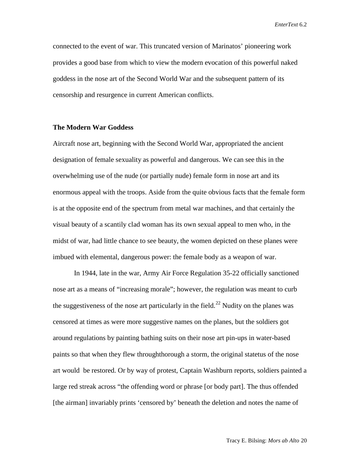connected to the event of war. This truncated version of Marinatos' pioneering work provides a good base from which to view the modern evocation of this powerful naked goddess in the nose art of the Second World War and the subsequent pattern of its censorship and resurgence in current American conflicts.

# **The Modern War Goddess**

Aircraft nose art, beginning with the Second World War, appropriated the ancient designation of female sexuality as powerful and dangerous. We can see this in the overwhelming use of the nude (or partially nude) female form in nose art and its enormous appeal with the troops. Aside from the quite obvious facts that the female form is at the opposite end of the spectrum from metal war machines, and that certainly the visual beauty of a scantily clad woman has its own sexual appeal to men who, in the midst of war, had little chance to see beauty, the women depicted on these planes were imbued with elemental, dangerous power: the female body as a weapon of war.

In 1944, late in the war, Army Air Force Regulation 35-22 officially sanctioned nose art as a means of "increasing morale"; however, the regulation was meant to curb the suggestiveness of the nose art particularly in the field.<sup>[22](#page-18-21)</sup> Nudity on the planes was censored at times as were more suggestive names on the planes, but the soldiers got around regulations by painting bathing suits on their nose art pin-ups in water-based paints so that when they flew throughthorough a storm, the original statetus of the nose art would be restored. Or by way of protest, Captain Washburn reports, soldiers painted a large red streak across "the offending word or phrase [or body part]. The thus offended [the airman] invariably prints 'censored by' beneath the deletion and notes the name of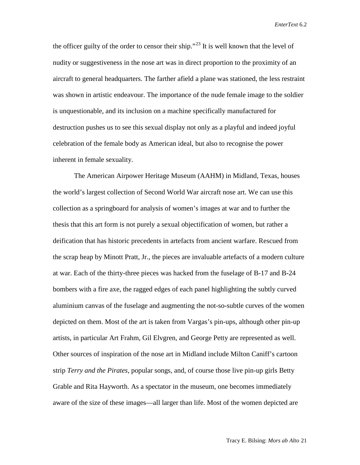the officer guilty of the order to censor their ship."<sup>[23](#page-18-22)</sup> It is well known that the level of nudity or suggestiveness in the nose art was in direct proportion to the proximity of an aircraft to general headquarters. The farther afield a plane was stationed, the less restraint was shown in artistic endeavour. The importance of the nude female image to the soldier is unquestionable, and its inclusion on a machine specifically manufactured for destruction pushes us to see this sexual display not only as a playful and indeed joyful celebration of the female body as American ideal, but also to recognise the power inherent in female sexuality.

The American Airpower Heritage Museum (AAHM) in Midland, Texas, houses the world's largest collection of Second World War aircraft nose art. We can use this collection as a springboard for analysis of women's images at war and to further the thesis that this art form is not purely a sexual objectification of women, but rather a deification that has historic precedents in artefacts from ancient warfare. Rescued from the scrap heap by Minott Pratt, Jr., the pieces are invaluable artefacts of a modern culture at war. Each of the thirty-three pieces was hacked from the fuselage of B-17 and B-24 bombers with a fire axe, the ragged edges of each panel highlighting the subtly curved aluminium canvas of the fuselage and augmenting the not-so-subtle curves of the women depicted on them. Most of the art is taken from Vargas's pin-ups, although other pin-up artists, in particular Art Frahm, Gil Elvgren, and George Petty are represented as well. Other sources of inspiration of the nose art in Midland include Milton Caniff's cartoon strip *Terry and the Pirates*, popular songs, and, of course those live pin-up girls Betty Grable and Rita Hayworth. As a spectator in the museum, one becomes immediately aware of the size of these images—all larger than life. Most of the women depicted are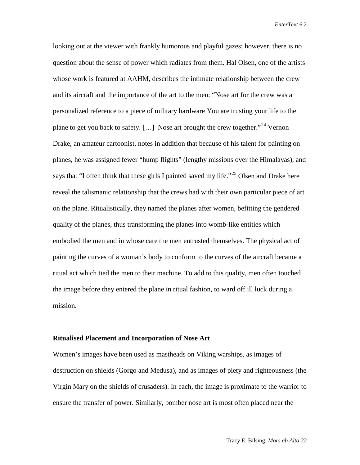looking out at the viewer with frankly humorous and playful gazes; however, there is no question about the sense of power which radiates from them. Hal Olsen, one of the artists whose work is featured at AAHM, describes the intimate relationship between the crew and its aircraft and the importance of the art to the men: "Nose art for the crew was a personalized reference to a piece of military hardware You are trusting your life to the plane to get you back to safety. [...] Nose art brought the crew together."<sup>[24](#page-18-23)</sup> Vernon Drake, an amateur cartoonist, notes in addition that because of his talent for painting on planes, he was assigned fewer "hump flights" (lengthy missions over the Himalayas), and says that "I often think that these girls I painted saved my life."<sup>[25](#page-18-24)</sup> Olsen and Drake here reveal the talismanic relationship that the crews had with their own particular piece of art on the plane. Ritualistically, they named the planes after women, befitting the gendered quality of the planes, thus transforming the planes into womb-like entities which embodied the men and in whose care the men entrusted themselves. The physical act of painting the curves of a woman's body to conform to the curves of the aircraft became a ritual act which tied the men to their machine. To add to this quality, men often touched the image before they entered the plane in ritual fashion, to ward off ill luck during a mission.

#### **Ritualised Placement and Incorporation of Nose Art**

Women's images have been used as mastheads on Viking warships, as images of destruction on shields (Gorgo and Medusa), and as images of piety and righteousness (the Virgin Mary on the shields of crusaders). In each, the image is proximate to the warrior to ensure the transfer of power. Similarly, bomber nose art is most often placed near the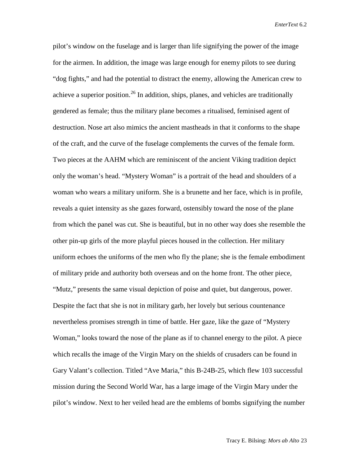pilot's window on the fuselage and is larger than life signifying the power of the image for the airmen. In addition, the image was large enough for enemy pilots to see during "dog fights," and had the potential to distract the enemy, allowing the American crew to achieve a superior position.<sup>[26](#page-18-25)</sup> In addition, ships, planes, and vehicles are traditionally gendered as female; thus the military plane becomes a ritualised, feminised agent of destruction. Nose art also mimics the ancient mastheads in that it conforms to the shape of the craft, and the curve of the fuselage complements the curves of the female form. Two pieces at the AAHM which are reminiscent of the ancient Viking tradition depict only the woman's head. "Mystery Woman" is a portrait of the head and shoulders of a woman who wears a military uniform. She is a brunette and her face, which is in profile, reveals a quiet intensity as she gazes forward, ostensibly toward the nose of the plane from which the panel was cut. She is beautiful, but in no other way does she resemble the other pin-up girls of the more playful pieces housed in the collection. Her military uniform echoes the uniforms of the men who fly the plane; she is the female embodiment of military pride and authority both overseas and on the home front. The other piece, "Mutz," presents the same visual depiction of poise and quiet, but dangerous, power. Despite the fact that she is not in military garb, her lovely but serious countenance nevertheless promises strength in time of battle. Her gaze, like the gaze of "Mystery Woman," looks toward the nose of the plane as if to channel energy to the pilot. A piece which recalls the image of the Virgin Mary on the shields of crusaders can be found in Gary Valant's collection. Titled "Ave Maria," this B-24B-25, which flew 103 successful mission during the Second World War, has a large image of the Virgin Mary under the pilot's window. Next to her veiled head are the emblems of bombs signifying the number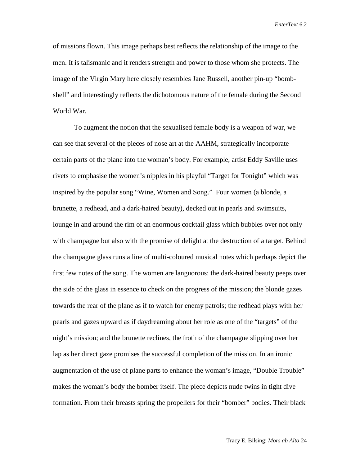of missions flown. This image perhaps best reflects the relationship of the image to the men. It is talismanic and it renders strength and power to those whom she protects. The image of the Virgin Mary here closely resembles Jane Russell, another pin-up "bombshell" and interestingly reflects the dichotomous nature of the female during the Second World War.

To augment the notion that the sexualised female body is a weapon of war, we can see that several of the pieces of nose art at the AAHM, strategically incorporate certain parts of the plane into the woman's body. For example, artist Eddy Saville uses rivets to emphasise the women's nipples in his playful "Target for Tonight" which was inspired by the popular song "Wine, Women and Song." Four women (a blonde, a brunette, a redhead, and a dark-haired beauty), decked out in pearls and swimsuits, lounge in and around the rim of an enormous cocktail glass which bubbles over not only with champagne but also with the promise of delight at the destruction of a target. Behind the champagne glass runs a line of multi-coloured musical notes which perhaps depict the first few notes of the song. The women are languorous: the dark-haired beauty peeps over the side of the glass in essence to check on the progress of the mission; the blonde gazes towards the rear of the plane as if to watch for enemy patrols; the redhead plays with her pearls and gazes upward as if daydreaming about her role as one of the "targets" of the night's mission; and the brunette reclines, the froth of the champagne slipping over her lap as her direct gaze promises the successful completion of the mission. In an ironic augmentation of the use of plane parts to enhance the woman's image, "Double Trouble" makes the woman's body the bomber itself. The piece depicts nude twins in tight dive formation. From their breasts spring the propellers for their "bomber" bodies. Their black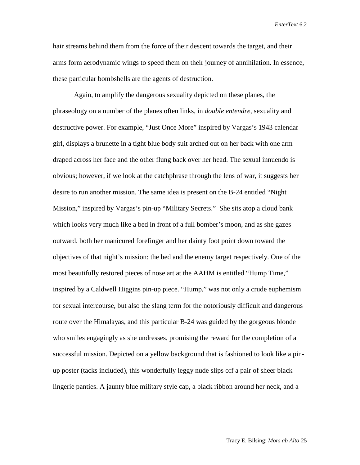hair streams behind them from the force of their descent towards the target, and their arms form aerodynamic wings to speed them on their journey of annihilation. In essence, these particular bombshells are the agents of destruction.

Again, to amplify the dangerous sexuality depicted on these planes, the phraseology on a number of the planes often links, in *double entendre*, sexuality and destructive power. For example, "Just Once More" inspired by Vargas's 1943 calendar girl, displays a brunette in a tight blue body suit arched out on her back with one arm draped across her face and the other flung back over her head. The sexual innuendo is obvious; however, if we look at the catchphrase through the lens of war, it suggests her desire to run another mission. The same idea is present on the B-24 entitled "Night Mission," inspired by Vargas's pin-up "Military Secrets." She sits atop a cloud bank which looks very much like a bed in front of a full bomber's moon, and as she gazes outward, both her manicured forefinger and her dainty foot point down toward the objectives of that night's mission: the bed and the enemy target respectively. One of the most beautifully restored pieces of nose art at the AAHM is entitled "Hump Time," inspired by a Caldwell Higgins pin-up piece. "Hump," was not only a crude euphemism for sexual intercourse, but also the slang term for the notoriously difficult and dangerous route over the Himalayas, and this particular B-24 was guided by the gorgeous blonde who smiles engagingly as she undresses, promising the reward for the completion of a successful mission. Depicted on a yellow background that is fashioned to look like a pinup poster (tacks included), this wonderfully leggy nude slips off a pair of sheer black lingerie panties. A jaunty blue military style cap, a black ribbon around her neck, and a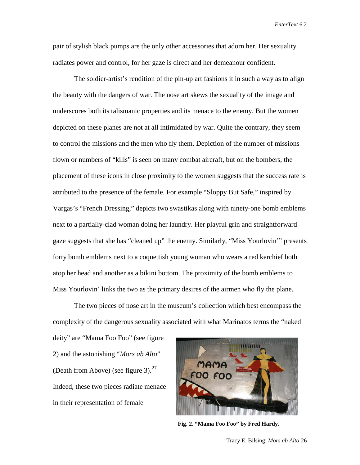pair of stylish black pumps are the only other accessories that adorn her. Her sexuality radiates power and control, for her gaze is direct and her demeanour confident.

The soldier-artist's rendition of the pin-up art fashions it in such a way as to align the beauty with the dangers of war. The nose art skews the sexuality of the image and underscores both its talismanic properties and its menace to the enemy. But the women depicted on these planes are not at all intimidated by war. Quite the contrary, they seem to control the missions and the men who fly them. Depiction of the number of missions flown or numbers of "kills" is seen on many combat aircraft, but on the bombers, the placement of these icons in close proximity to the women suggests that the success rate is attributed to the presence of the female. For example "Sloppy But Safe," inspired by Vargas's "French Dressing," depicts two swastikas along with ninety-one bomb emblems next to a partially-clad woman doing her laundry. Her playful grin and straightforward gaze suggests that she has "cleaned up" the enemy. Similarly, "Miss Yourlovin'" presents forty bomb emblems next to a coquettish young woman who wears a red kerchief both atop her head and another as a bikini bottom. The proximity of the bomb emblems to Miss Yourlovin' links the two as the primary desires of the airmen who fly the plane.

The two pieces of nose art in the museum's collection which best encompass the complexity of the dangerous sexuality associated with what Marinatos terms the "naked

deity" are "Mama Foo Foo" (see figure 2) and the astonishing "*Mors ab Alto*" (Death from Above) (see figure 3). $^{27}$  $^{27}$  $^{27}$ Indeed, these two pieces radiate menace in their representation of female



**Fig. 2. "Mama Foo Foo" by Fred Hardy.**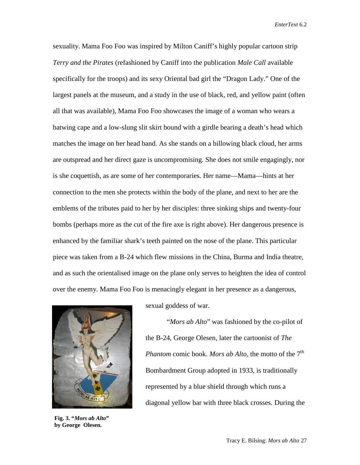sexuality. Mama Foo Foo was inspired by Milton Caniff's highly popular cartoon strip *Terry and the Pirates* (refashioned by Caniff into the publication *Male Call* available specifically for the troops) and its sexy Oriental bad girl the "Dragon Lady." One of the largest panels at the museum, and a study in the use of black, red, and yellow paint (often all that was available), Mama Foo Foo showcases the image of a woman who wears a batwing cape and a low-slung slit skirt bound with a girdle bearing a death's head which matches the image on her head band. As she stands on a billowing black cloud, her arms are outspread and her direct gaze is uncompromising. She does not smile engagingly, nor is she coquettish, as are some of her contemporaries. Her name—Mama—hints at her connection to the men she protects within the body of the plane, and next to her are the emblems of the tributes paid to her by her disciples: three sinking ships and twenty-four bombs (perhaps more as the cut of the fire axe is right above). Her dangerous presence is enhanced by the familiar shark's teeth painted on the nose of the plane. This particular piece was taken from a B-24 which flew missions in the China, Burma and India theatre, and as such the orientalised image on the plane only serves to heighten the idea of control over the enemy. Mama Foo Foo is menacingly elegant in her presence as a dangerous,



**Fig. 3. "***Mors ab Alto***" by George Olesen.**

sexual goddess of war.

"*Mors ab Alto*" was fashioned by the co-pilot of the B-24, George Olesen, later the cartoonist of *The Phantom comic book. Mors ab Alto*, the motto of the 7<sup>th</sup> Bombardment Group adopted in 1933, is traditionally represented by a blue shield through which runs a diagonal yellow bar with three black crosses. During the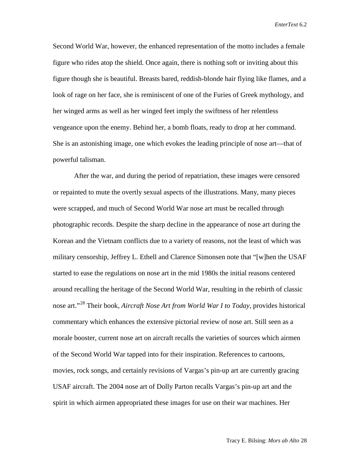Second World War, however, the enhanced representation of the motto includes a female figure who rides atop the shield. Once again, there is nothing soft or inviting about this figure though she is beautiful. Breasts bared, reddish-blonde hair flying like flames, and a look of rage on her face, she is reminiscent of one of the Furies of Greek mythology, and her winged arms as well as her winged feet imply the swiftness of her relentless vengeance upon the enemy. Behind her, a bomb floats, ready to drop at her command. She is an astonishing image, one which evokes the leading principle of nose art—that of powerful talisman.

After the war, and during the period of repatriation, these images were censored or repainted to mute the overtly sexual aspects of the illustrations. Many, many pieces were scrapped, and much of Second World War nose art must be recalled through photographic records. Despite the sharp decline in the appearance of nose art during the Korean and the Vietnam conflicts due to a variety of reasons, not the least of which was military censorship, Jeffrey L. Ethell and Clarence Simonsen note that "[w]hen the USAF started to ease the regulations on nose art in the mid 1980s the initial reasons centered around recalling the heritage of the Second World War, resulting in the rebirth of classic nose art."[28](#page-18-27) Their book, *Aircraft Nose Art from World War I to Today*, provides historical commentary which enhances the extensive pictorial review of nose art. Still seen as a morale booster, current nose art on aircraft recalls the varieties of sources which airmen of the Second World War tapped into for their inspiration. References to cartoons, movies, rock songs, and certainly revisions of Vargas's pin-up art are currently gracing USAF aircraft. The 2004 nose art of Dolly Parton recalls Vargas's pin-up art and the spirit in which airmen appropriated these images for use on their war machines. Her

Tracy E. Bilsing: *Mors ab Alto* 28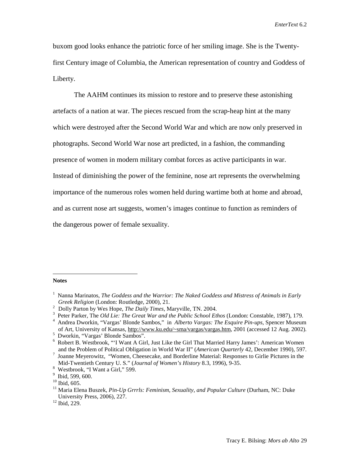buxom good looks enhance the patriotic force of her smiling image. She is the Twentyfirst Century image of Columbia, the American representation of country and Goddess of Liberty.

The AAHM continues its mission to restore and to preserve these astonishing artefacts of a nation at war. The pieces rescued from the scrap-heap hint at the many which were destroyed after the Second World War and which are now only preserved in photographs. Second World War nose art predicted, in a fashion, the commanding presence of women in modern military combat forces as active participants in war. Instead of diminishing the power of the feminine, nose art represents the overwhelming importance of the numerous roles women held during wartime both at home and abroad, and as current nose art suggests, women's images continue to function as reminders of the dangerous power of female sexuality.

#### **Notes**

 $\overline{a}$ 

<sup>&</sup>lt;sup>1</sup> Nanna Marinatos, *The Goddess and the Warrior: The Naked Goddess and Mistress of Animals in Early Greek Religion (London: Routledge, 2000), 21.*<br><sup>2</sup> Dolly Barton by Was Hone, *The Daily Times* A

 $\frac{2}{3}$  Dolly Parton by Wes Hope, *The Daily Times*, Maryville, TN. 2004.

<sup>&</sup>lt;sup>3</sup> Peter Parker, The *Old Lie: The Great War and the Public School Ethos* (London: Constable, 1987), 179.

<sup>&</sup>lt;sup>4</sup> Andrea Dworkin, "Vargas' Blonde Sambos," in *Alberto Vargas: The Esquire Pin-ups*, Spencer Museum of Art, University of Kansas, http://www.ku.edu/~sma/vargas/vargas.htm, 2001 (accessed 12 Aug. 2002). <sup>5</sup>

<sup>&</sup>lt;sup>5</sup> Dworkin, "Vargas' Blonde Sambos".

<sup>&</sup>lt;sup>6</sup> Robert B. Westbrook, "'I Want A Girl, Just Like the Girl That Married Harry James': American Women and the Problem of Political Obligation in World War II" (*American Quarterly 42*, December 1990), 597. and the Problem of Political Obligation in World War II" (*American Quarterly* 42, December 1990), 597.<br><sup>7</sup> Joanne Meyerowitz, "Women, Cheesecake, and Borderline Material: Responses to Girlie Pictures in the

Mid-Twentieth Century U. S." (*Journal of Women's History* 8.3, 1996), 9-35. <sup>8</sup>

 $\frac{8}{9}$  Westbrook, "I Want a Girl," 599.<br> $\frac{9}{9}$  Ibid, 599, 600.

<sup>&</sup>lt;sup>10</sup> Ibid, 605.<br><sup>11</sup> Maria Elena Buszek, *Pin-Up Grrrls: Feminism, Sexuality, and Popular Culture* (Durham, NC: Duke University Press, 2006), 227. <sup>12</sup> Ibid, 229.